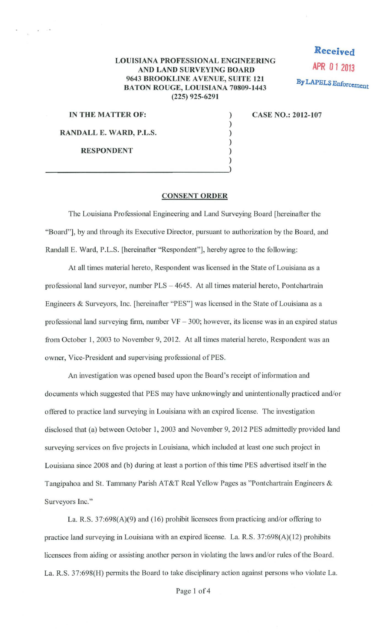## **LOUISIANA PROFESSIONAL ENGINEERING AND LAND SURVEYING BOARD 9643 BROOKLINE A VENUE, SUITE 121 BATON ROUGE, LOUISIANA 70809-1443 (225) 925-6291**

) ) ) ) ) )

**Received APR 0 1 <sup>2013</sup> By LAPELS Enforcement** 

**IN THE MATTER OF:** 

**RANDALL E. WARD, P.L.S.** 

**RESPONDENT** 

**CASE NO.: 2012-107** 

## **CONSENT ORDER**

The Louisiana Professional Engineering and Land Surveying Board [hereinafter the "Board"], by and through its Executive Director, pursuant to authorization by the Board, and Randall E. Ward, P.L.S. [hereinafter "Respondent"], hereby agree to the following:

At all times material hereto, Respondent was licensed in the State of Louisiana as a professional land surveyor, number PLS- 4645. At all times material hereto, Pontchartrain Engineers & Surveyors, Inc. [hereinafter "PES"] was licensed in the State of Louisiana as a professional land surveying firm, number  $VF - 300$ ; however, its license was in an expired status from October 1, 2003 to November 9, 2012. At all times material hereto, Respondent was an owner, Vice-President and supervising professional of PES.

An investigation was opened based upon the Board's receipt of information and documents which suggested that PES may have unknowingly and unintentionally practiced and/or offered to practice land surveying in Louisiana with an expired license. The investigation disclosed that (a) between October I, 2003 and November 9, 2012 PES admittedly provided land surveying services on five projects in Louisiana, which included at least one such project in Louisiana since 2008 and (b) during at least a portion of this time PES advertised itself in the Tangipahoa and St. Tammany Parish AT&T Real Yellow Pages as "Pontchartrain Engineers & Surveyors Inc."

La. R.S.  $37:698(A)(9)$  and (16) prohibit licensees from practicing and/or offering to practice land surveying in Louisiana with an expired license. La. R.S. 37:698(A)(l2) prohibits licensees from aiding or assisting another person in violating the laws and/or rules of the Board. La. R.S. 37:698(H) permits the Board to take disciplinary action against persons who violate La.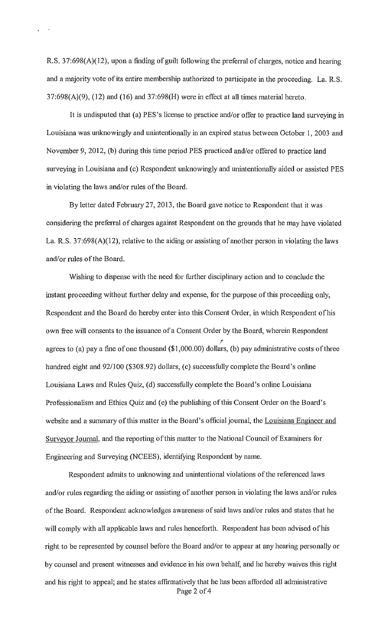R.S. 37:698(A)(12), upon a finding of guilt following the preferral of charges, notice and hearing and a majority vote of its entire membership authorized to participate in the proceeding. La. R.S.  $37:698(A)(9)$ ,  $(12)$  and  $(16)$  and  $37:698(H)$  were in effect at all times material hereto.

It is undisputed that (a) PES's license to practice and/or offer to practice land surveying in Louisiana was unknowingly and unintentionally in an expired status between October 1, 2003 and November 9, 2012, (b) during this time period PES practiced and/or offered to practice land surveying in Louisiana and (c) Respondent unknowingly and unintentionally aided or assisted PES in violating the laws and/or rules of the Board.

By letter dated February 27, 2013, the Board gave notice to Respondent that it was considering the preferral of charges against Respondent on the grounds that he may have violated La. R.S. 37:698(A)(12), relative to the aiding or assisting of another person in violating the laws and/or rules of the Board.

Wishing to dispense with the need for further disciplinary action and to conclude the instant proceeding without further delay and expense, for the purpose of this proceeding only, Respondent and the Board do hereby enter into this Consent Order, in which Respondent of his own free will consents to the issuance of a Consent Order by the Board, wherein Respondent ! agrees to (a) pay a fine of one thousand (\$1,000.00) dollars, (b) pay administrative costs of three hundred eight and 92/100 (\$308.92) dollars, (c) successfully complete the Board's online Louisiana Laws and Rules Quiz, (d) successfully complete the Board's online Louisiana Professionalism and Ethics Quiz and (e) the publishing of this Consent Order on the Board's website and a summary of this matter in the Board's official journal, the Louisiana Engineer and Surveyor Journal, and the reporting of this matter to the National Council of Examiners for Engineering and Surveying (NCEES), identifying Respondent by name.

Respondent admits to unknowing and unintentional violations of the referenced laws and/or rules regarding the aiding or assisting of another person in violating the laws and/or rules of the Board. Respondent acknowledges awareness of said laws and/or rules and states that he will comply with all applicable laws and rules henceforth. Respondent has been advised of his right to be represented by counsel before the Board and/or to appear at any hearing personally or by counsel and present witnesses and evidence in his own behalf, and he hereby waives this right and his right to appeal; and he states affrrmatively that he has been afforded all administrative Page 2 of 4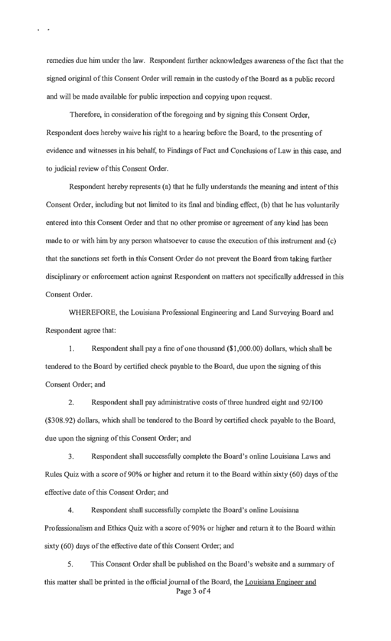remedies due him under the law. Respondent further acknowledges awareness of the fact that the signed original of this Consent Order will remain in the custody of the Board as a public record and will be made available for public inspection and copying upon request.

Therefore, in consideration of the foregoing and by signing this Consent Order, Respondent does hereby waive his right to a hearing before the Board, to the presenting of evidence and witnesses in his behalf, to Findings of Fact and Conclusions of Law in this case, and to judicial review of this Consent Order.

Respondent hereby represents (a) that he fully understands the meaning and intent of this Consent Order, including but not limited to its final and binding effect, (b) that he has voluntarily entered into this Consent Order and that no other promise or agreement of any kind has been made to or with him by any person whatsoever to cause the execution of this instrument and (c) that the sanctions set forth in this Consent Order do not prevent the Board from taking further disciplinary or enforcement action against Respondent on matters not specifically addressed in this Consent Order.

WHEREFORE, the Louisiana Professional Engineering and Land Surveying Board and Respondent agree that:

I. Respondent shall pay a fine of one thousand (\$1 ,000.00) dollars, which shall be tendered to the Board by certified check payable to the Board, due upon the signing of this Consent Order; and

2. Respondent shall pay administrative costs of three hundred eight and 92/100 (\$308.92) dollars, which shall be tendered to the Board by certified check payable to the Board, due upon the signing of this Consent Order; and

3. Respondent shall successfully complete the Board's online Louisiana Laws and Rules Quiz with a score of 90% or higher and return it to the Board within sixty (60) days of the effective date of this Consent Order; and

4. Respondent shall successfully complete the Board's online Louisiana Professionalism and Ethics Quiz with a score of 90% or higher and return it to the Board within sixty (60) days of the effective date of this Consent Order; and

5. This Consent Order shall be published on the Board's website and a summary of this matter shall be printed in the official journal of the Board, the Louisiana Engineer and Page 3 of 4